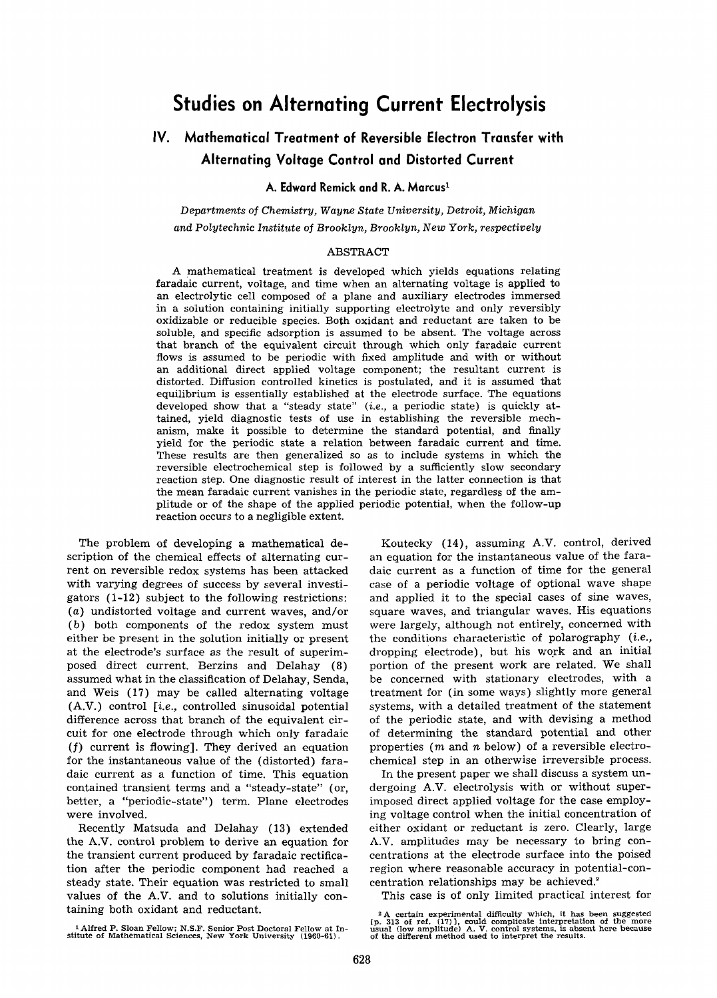# **Studies on Alternating Current Electrolysis**

## **IV. Mathematical Treatment of Reversible Electron Transfer with Alternating Voltage Control and Distorted Current**

## **A. Edward Remick and R. A. Marcus 1**

*Departments of Chemistry, Wayne State University, Detroit, Michigan and Polytechnic Institute of Brooklyn, Brooklyn, New York, respectively* 

#### ABSTRACT

A mathematical treatment is developed which yields equations relating faradaic current, voltage, and time when an alternating voltage is applied to an electrolytic cell composed of a plane and auxiliary electrodes immersed in a solution containing initially supporting electrolyte and only reversibly oxidizable or reducible species. Both oxidant and reductant are taken to be soluble, and specific adsorption is assumed to be absent. The voltage across that branch of the equivalent circuit through which only faradaic current flows is assumed to be periodic with fixed amplitude and with or without an additional direct applied voltage component; the resultant current is distorted. Diffusion controlled kinetics is postulated, and it is assumed that equilibrium is essentially established at the electrode surface. The equations developed show that a "steady state" *(i.e.,* a periodic state) is quickly attained, yield diagnostic tests of use in establishing the reversible mechanism, make it possible to determine the standard potential, and finally yield for the periodic state a relation between faradaic current and time. These results are then generalized so as to include systems in which the reversible electrochemical step is followed by a sufficiently slow secondary reaction step. One diagnostic result of interest in the latter connection is that the mean faradaic current vanishes in the periodic state, regardless of the amplitude or of the shape of the applied periodic potential, when the follow-up reaction occurs to a negligible extent.

The problem of developing a mathematical description of the chemical effects of alternating current on reversible redox systems has been attacked with varying degrees of success by several investigators (1-12) subject to the following restrictions: (a) undistorted voltage and current waves, and/or (b) both components of the redox system must either be present in the solution initially or present at the electrode's surface as the result of superimposed direct current. Berzins and Delahay (8) assumed what in the classification of Delahay, Senda, and Weis (17) may be called alternating voltage (A.V.) control *[i.e.,* controlled sinusoidal potential difference across that branch of the equivalent circuit for one electrode through which only faradaic (f) current is flowing]. They derived an equation for the instantaneous value of the (distorted) faradaic current as a function of time. This equation contained transient terms and a "steady-state" (or, better, a "periodic-state") term. Plane electrodes were involved.

Recently Matsuda and Delahay (13) extended the A.V. control problem to derive an equation for the transient current produced by faradaic rectification after the periodic component had reached a steady state. Their equation was restricted to small values of the A.V. and to solutions initially containing both oxidant and reductant.

1 Alfred P. Sloan Fellow; N.S.F. Senior Post Doctoral Fellow at In-stitute **of Mathematical Sciences,** New York University (1960-61).

Koutecky (14), assuming A.V. control, derived an equation for the instantaneous value of the faradaic current as a function of time for the general case of a periodic voltage of optional wave shape and applied it to the special cases of sine waves, square waves, and triangular waves. His equations were largely, although not entirely, concerned with the conditions characteristic of polarography *(i.e.,*  dropping electrode), but his work and an initial portion of the present work are related. We shall be concerned with stationary electrodes, with a treatment for (in some ways) slightly more general systems, with a detailed treatment of the statement of the periodic state, and with devising a method of determining the standard potential and other properties ( $m$  and  $n$  below) of a reversible electrochemical step in an otherwise irreversible process.

In the present paper we shall discuss a system undergoing A.V. electrolysis with or without superimposed direct applied voltage for the case employing voltage control when the initial concentration of either oxidant or reductant is zero. Clearly, large A.V. amplitudes may be necessary to bring concentrations at the electrode surface into the poised region where reasonable accuracy in potential-concentration relationships may be achieved.<sup>2</sup>

This case is of only limited practical interest for

<sup>&</sup>lt;sup>2</sup> A certain experimental difficulty which, it has been suggested [p. 313 of ref.  $(17)$ ], could complicate interpretation of the more usual (low amplitude) A, V, control systems, is absent here because of the different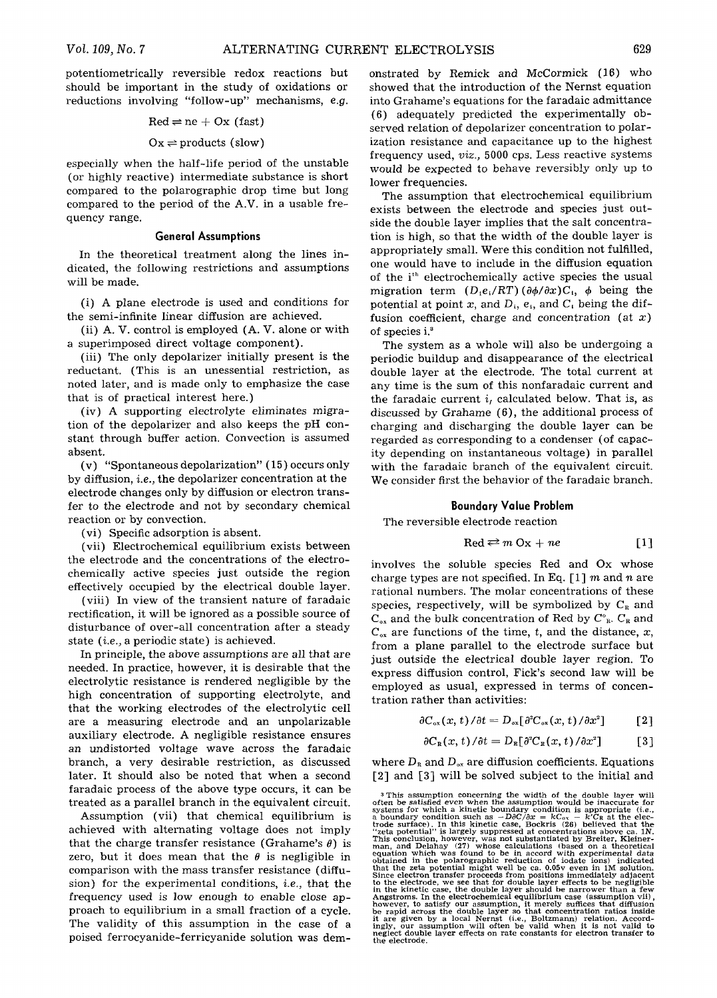potentiometrically reversible redox reactions but should be important in the study of oxidations or reductions involving "follow-up" mechanisms, e.g.

$$
Red \rightleftharpoons ne + Ox (fast)
$$

#### $Ox \rightleftharpoons$  products (slow)

especially when the half-life period of the unstable (or highly reactive) intermediate substance is short compared to the polarographic drop time but long compared to the period of the A.V. in a usable frequency range.

#### **General Assumptions**

In the theoretical treatment along the lines indicated, the following restrictions and assumptions will be made.

(i) A plane electrode is used and conditions for the semi-infinite linear diffusion are achieved.

(ii) A. V. control is employed (A. V. alone or with a superimposed direct voltage component).

(iii) The only depolarizer initially present is the reductant. (This is an unessential restriction, as noted later, and is made only to emphasize the case that is of practical interest here.)

(iv) A supporting electrolyte eliminates migration of the depolarizer and also keeps the pH constant through buffer action. Convection is assumed absent.

(v) "Spontaneous depolarization" (15) occurs only by diffusion, *i.e.,* the depolarizer concentration at the electrode changes only by diffusion or electron transfer to the electrode and not by secondary chemical reaction or by convection.

(vi) Specific adsorption is absent.

(vii) Electrochemical equilibrium exists between the electrode and the concentrations of the electrochemically active species just outside the region effectively occupied by the electrical double layer.

(viii) In view of the transient nature of faradaic rectification, it will be ignored as a possible source of disturbance of over-all concentration after a steady state *(i.e.,* a periodic state) is achieved.

In principle, the above assumptions are all that are needed. In practice, however, it is desirable that the electrolytic resistance is rendered negligible by the high concentration of supporting electrolyte, and that the working electrodes of the electrolytic cell are a measuring electrode and an unpolarizable auxiliary electrode. A negligible resistance ensures an undistorted voltage wave across the faradaic branch, a very desirable restriction, as discussed later. It should also be noted that when a second faradaic process of the above type occurs, it can be treated as a parallel branch in the equivalent circuit.

Assumption (vii) that chemical equilibrium is achieved with alternating voltage does not imply that the charge transfer resistance (Grahame's  $\theta$ ) is zero, but it does mean that the  $\theta$  is negligible in comparison with the mass transfer resistance (diffusion) for the experimental conditions, *i.e.,* that the frequency used is low enough to enable close approach to equilibrium in a small fraction of a cycle. The validity of this assumption in the case of a poised ferrocyanide-ferricyanide solution was demonstrated by Remick and McCormick (16) who showed that the introduction of the Nernst equation into Grahame's equations for the faradaic admittance (6) adequately predicted the experimentally observed relation of depolarizer concentration to polarization resistance and capacitance up to the highest frequency used, *viz.,* 5000 cps. Less reactive systems would be expected to behave reversibly only up to lower frequencies.

The assumption that electrochemical equilibrium exists between the electrode and species just outside the double layer implies that the salt concentration is high, so that the width of the double layer is appropriately small. Were this condition not fulfilled, one would have to include in the diffusion equation of the i<sup>th</sup> electrochemically active species the usual migration term  $(D_1e_i/RT)(\partial \phi/\partial x)C_i$ ,  $\phi$  being the potential at point x, and  $D_i$ ,  $e_i$ , and  $C_i$  being the diffusion coefficient, charge and concentration  $(at x)$ of species i.<sup>3</sup>

The system as a whole will also be undergoing a periodic buildup and disappearance of the electrical double layer at the electrode. The total current at any time is the sum of this nonfaradaic current and the faradaic current  $i_t$  calculated below. That is, as discussed by Grahame (6), the additional process of charging and discharging the double layer can be regarded as corresponding to a condenser (of capacity depending on instantaneous voltage) in parallel with the faradaic branch of the equivalent circuit. We consider first the behavior of the faradaic branch.

## **Boundary Value Problem**

The reversible electrode reaction

$$
Red \rightleftarrows m Ox + ne \qquad [1]
$$

involves the soluble species Red and Ox whose charge types are not specified. In Eq. [1] m and n are rational numbers. The molar concentrations of these species, respectively, will be symbolized by  $C_{\rm R}$  and  $C_{ox}$  and the bulk concentration of Red by  $C_{R}^{\circ}$ .  $C_{R}$  and  $C_{ox}$  are functions of the time, t, and the distance, x, from a plane parallel to the electrode surface but just outside the electrical double layer region. To express diffusion control, Fick's second law will be employed as usual, expressed in terms of concentration rather than activities:

$$
\partial C_{\alpha x}(x,t)/\partial t = D_{\alpha x}[\partial^2 C_{\alpha x}(x,t)/\partial x^2] \qquad [2]
$$

$$
\partial C_{\mathbb{R}}(x,t)/\partial t = D_{\mathbb{R}}[\partial^2 C_{\mathbb{R}}(x,t)/\partial x^2]
$$
 [3]

where  $D_{\rm R}$  and  $D_{\rm ox}$  are diffusion coefficients. Equations [2] and [3] will be solved subject to the initial and

<sup>&</sup>lt;sup>3</sup> This assumption concerning the width of the double layer will of<br>systems for which a kinetic boundary condition is appropriate for<br>systems for which a kinetic boundary condition is appropriate (*i.e.*,<br>a boundary cond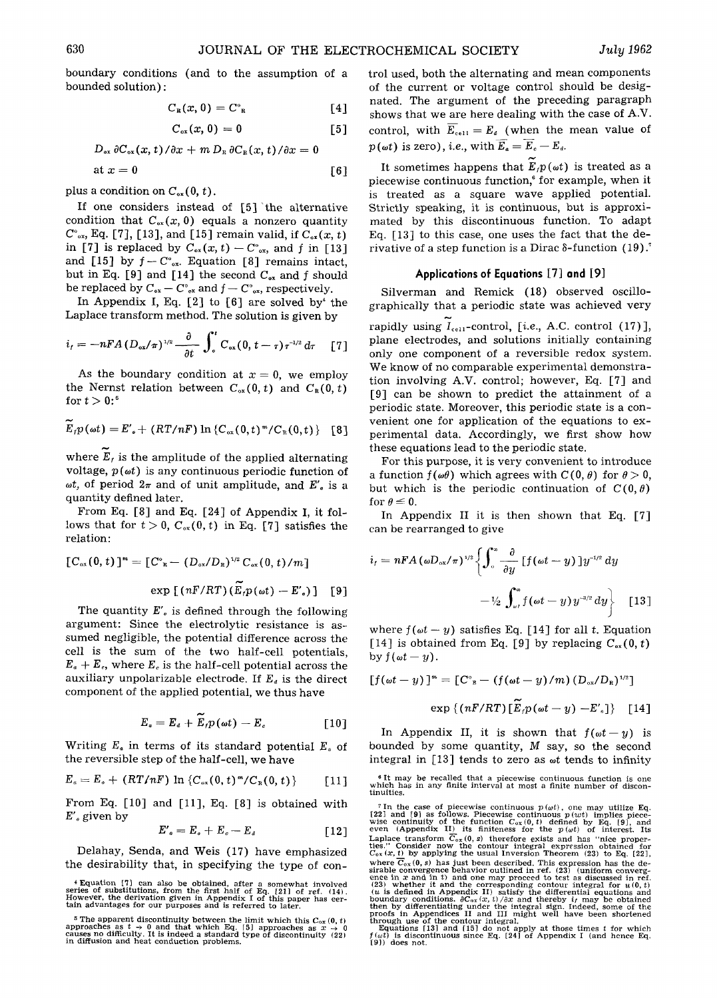$$
D_{\alpha x} \partial C_{\alpha x}(x, t) / \partial x + m D_{\alpha} \partial C_{\alpha} (x, t) / \partial x = 0
$$
  
at  $x = 0$  [6]

boundary conditions (and to the assumption of a

plus a condition on  $C_{\alpha x}(0, t)$ .

bounded solution) :

If one considers instead of [5] the alternative condition that  $C_{\text{ox}}(x, 0)$  equals a nonzero quantity  $C^{\circ}_{\alpha x}$ , Eq. [7], [13], and [15] remain valid, if  $C_{\alpha x}(x, t)$ in [7] is replaced by  $C_{\alpha x}(x, t) - C_{\alpha x}^{\circ}$ , and f in [13] and [15] by  $f-C^{\circ}_{\text{ox}}$ . Equation [8] remains intact, but in Eq. [9] and [14] the second  $C_{\alpha x}$  and f should be replaced by  $C_{\alpha x} - C_{\alpha x}^{\circ}$  and  $f - C_{\alpha x}^{\circ}$ , respectively.

In Appendix I, Eq.  $[2]$  to  $[6]$  are solved by the Laplace transform method. The solution is given by

$$
i_{t}=-nFA(D_{\alpha x}/\pi)^{1/2}-\frac{\partial}{\partial t}\int_{a}^{t}C_{\alpha x}(0,t-\tau)\tau^{1/2}d\tau\qquad[7]
$$

As the boundary condition at  $x = 0$ , we employ the Nernst relation between  $C_{\alpha x}(0, t)$  and  $C_{R}(0, t)$ for  $t > 0$ :<sup>6</sup>

$$
\widetilde{E}_{f}p(\omega t) = E'_{e} + (RT/nF) \ln \left\{ C_{\alpha x}(0,t)^{m}/C_{R}(0,t) \right\} \quad [8]
$$

where  $E_t$  is the amplitude of the applied alternating voltage,  $p(\omega t)$  is any continuous periodic function of  $\omega t$ , of period  $2\pi$  and of unit amplitude, and  $E'$ , is a quantity defined later.

From Eq. [8] and Eq. [24] of Appendix I, it follows that for  $t > 0$ ,  $C_{\alpha x}(0, t)$  in Eq. [7] satisfies the relation:

$$
[C_{ox}(0, t)]^m = [C^{\circ}_{R} - (D_{ox}/D_{R})^{1/2} C_{ox}(0, t)/m]
$$
  
exp [(nF/RT) (\widetilde{E}\_{r}p(\omega t) - E'\_{o})] [9]

The quantity  $E'$ <sub>*i*</sub> is defined through the following argument: Since the electrolytic resistance is assumed negligible, the potential difference across the cell is the sum of the two half-cell potentials,  $E_a + E_c$ , where  $E_c$  is the half-cell potential across the auxiliary unpolarizable electrode. If  $E_i$  is the direct component of the applied potential, we thus have

$$
E_a = E_a + \widetilde{E}_r p(\omega t) - E_c \qquad [10]
$$

Writing  $E_a$  in terms of its standard potential  $E_a$  of the reversible step of the half-cell, we have

$$
E_{a} = E_{a} + (RT/nF) \ln \{C_{ox}(0, t)^{m}/C_{R}(0, t)\} \qquad [11]
$$

From Eq. [10] and [11], Eq. [8] is obtained with  $E'$ <sub>o</sub> given by

$$
E'_{\mathfrak{g}} = E_{\mathfrak{g}} + E_{\mathfrak{g}} - E_{\mathfrak{g}} \qquad [12]
$$

Delahay, Senda, and Weis (17) have emphasized the desirability that, in specifying the type of control used, both the alternating and mean components of the current or voltage control should be designated. The argument of the preceding paragraph shows that we are here dealing with the case of A.V. control, with  $\overline{E}_{cell} = E_4$  (when the mean value of  $p(\omega t)$  is zero), *i.e.*, with  $\overline{E_a} = \overline{E}_c - E_d$ .

It sometimes happens that  $E_f p(\omega t)$  is treated as a piecewise continuous function,<sup>6</sup> for example, when it is treated as a square wave applied potential. Strictly speaking, it is continuous, but is approximated by this discontinuous function. To adapt Eq. [13] to this case, one uses the fact that the derivative of a step function is a Dirac  $\delta$ -function (19).<sup>7</sup>

#### **Applications of Equations [7] and [9]**

Silverman and Remick (18) observed oscillographically that a periodic state was achieved very rapidly using  $I_{\text{cell}}$ -control, [*i.e.*, A.C. control (17)], plane electrodes, and solutions initially containing only one component of a reversible redox system. We know of no comparable experimental demonstration involving A.V. control; however, Eq. [7] and [9] can be shown to predict the attainment of a periodic state. Moreover, this periodic state is a convenient one for application of the equations to experimental data. Accordingly, we first show how these equations lead to the periodic state.

For this purpose, it is very convenient to introduce a function  $f(\omega\theta)$  which agrees with  $C(0, \theta)$  for  $\theta > 0$ , but which is the periodic continuation of  $C(0, \theta)$ for  $\theta \leq 0$ .

In Appendix II it is then shown that Eq. [7] can be rearranged to give

$$
i_{t} = nFA \left(\omega D_{\text{ox}}/\pi\right)^{1/2} \left\{\int_{\text{o}}^{\infty} \frac{\partial}{\partial y} \left[f\left(\omega t - y\right)\right] y^{-1/2} dy - \frac{1}{2} \int_{\omega_{t}}^{\infty} f\left(\omega t - y\right) y^{-3/2} dy \right\} \qquad [13]
$$

where  $f(\omega t - y)$  satisfies Eq. [14] for all t. Equation [14] is obtained from Eq. [9] by replacing  $C_{ox}(0, t)$ by  $f(\omega t - y)$ .

$$
\left[f(\omega t - y)\right]^m = \left[C^{\circ}_{\;\;\mathrm{R}} - \left(f(\omega t - y)/m\right)(D_{\circ x}/D_{\mathrm{R}})^{1/2}\right]
$$

$$
\exp\left\{ \left( nF/RT\right)[E_{t}p(\omega t-y)-E_{s}^{\prime}]\right\} \quad [14]
$$

In Appendix II, it is shown that  $f(\omega t - y)$  is bounded by some quantity, M say, so the second integral in  $[13]$  tends to zero as  $\omega t$  tends to infinity

6 It may be recalled that a piecewise continuous function is one which has in any finite interval at most a finite number of discon-tinuities.

 $*$  Equation [7] can also be obtained, after a somewhat involved<br>series of substitutions, from the first half of Eq. [21] of ref. (14).<br>However, the derivation given in Appendix I of this paper has cer-<br>tain advantages fo

<sup>&</sup>lt;sup>5</sup> The apparent discontinuity between the limit which this  $C_{ox} (0, t)$  approaches as  $t \rightarrow 0$  and that which Eq. [5] approaches as  $x \rightarrow 0$  causes no difficulty. It is indeed a standard type of discontinuity (22) in diffus

<sup>&</sup>lt;sup>7</sup> In the case of piecewise continuous  $p(\omega t)$ , one may utilize Eq. [22] and [9] as follows. Piecewise continuous  $p(\omega t)$  implies piece-<br>wise continuity of the function  $C_{\alpha s}(\theta, t)$  defined by Eq. [9], and<br>even (Appendi Laplace transform C<sub>ox</sub>(0, s) therefore exists and has "nice proper-<br>ties.'" Consider now the contour integral expression obtained for<br>C<sub>ox</sub>(x, t) by applying the usual Inversion Theorem (23) to Eq. [22], where  $C_{\alpha\zeta}(0,s)$  has just been described. This expression has the de-<br>sirable convergence behavior outlined in ref. (23) (uniform convergence<br>ence in x and in t) and one may proceed to test as discussed in ref.<br>(23) wh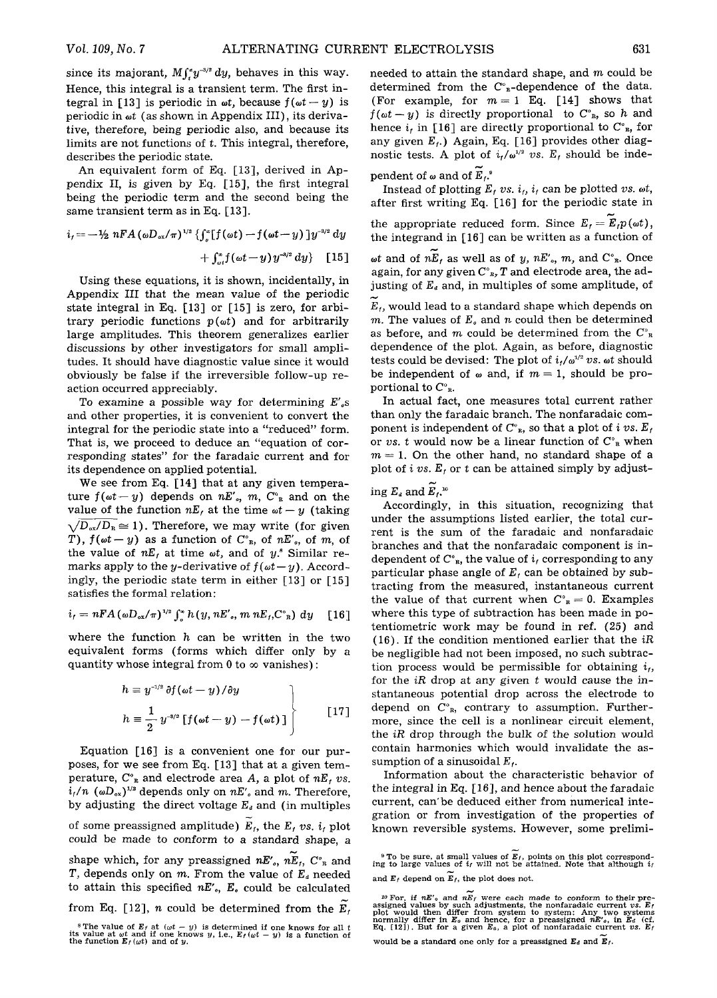since its majorant,  $M \int_{-\infty}^{\infty} dy$ , behaves in this way. Hence, this integral is a transient term. The first integral in [13] is periodic in  $\omega t$ , because  $f(\omega t - y)$  is periodic in  $\omega t$  (as shown in Appendix III), its derivative, therefore, being periodic also, and because its limits are not functions of t. This integral, therefore, describes the periodic state.

An equivalent form of Eq. [13], derived in Appendix II, is given by Eq. [15], the first integral being the periodic term and the second being the same transient term as in Eq. [13].

$$
i_{f} = -\frac{1}{2} nFA (\omega D_{\alpha x}/\pi)^{1/2} \left\{ \int_{a}^{\infty} [f(\omega t) - f(\omega t - y)] y^{-3/2} dy \right\} + \int_{\omega t}^{\infty} f(\omega t - y) y^{-3/2} dy \right\} [15]
$$

Using these equations, it is shown, incidentally, in Appendix III that the mean value of the periodic state integral in Eq. [13] or [15] is zero, for arbitrary periodic functions  $p(\omega t)$  and for arbitrarily large amplitudes. This theorem generalizes earlier discussions by other investigators for small amplitudes. It should have diagnostic value since it would obviously be false if the irreversible follow-up reaction occurred appreciably.

To examine a possible way for determining  $E'_{s}$ s and other properties, it is convenient to convert the integral for the periodic state into a "reduced" form. That is, we proceed to deduce an "equation of corresponding states" for the faradaic current and for its dependence on applied potential.

We see from Eq. [14] that at any given temperature  $f(\omega t-y)$  depends on  $nE'_{\omega}$ ,  $m$ ,  $C^{\omega}$  and on the value of the function  $nE_t$  at the time  $\omega t - y$  (taking  $\sqrt{D_{\alpha}Z/D_{\alpha}} \approx 1$ ). Therefore, we may write (for given T),  $f(\omega t-y)$  as a function of  $C^{\circ}$ <sub>B</sub>, of *nE'<sub>o</sub>*, of *m*, of the value of  $nE_t$  at time  $\omega t$ , and of  $y$ <sup>\*</sup> Similar remarks apply to the *y*-derivative of  $f(\omega t - y)$ . Accordingly, the periodic state term in either [13] or [15] satisfies the formal relation:

$$
i_t = nFA \left(\omega D_{\alpha x}/\pi\right)^{1/2} \int_a^{\infty} h\left(y, nE', m nE_t, C_{R}^{\circ}\right) dy \quad [16]
$$

where the function  $h$  can be written in the two equivalent forms (forms which differ only by a quantity whose integral from 0 to  $\infty$  vanishes):

$$
h \equiv y^{-1/2} \partial f(\omega t - y) / \partial y
$$
  
\n
$$
h \equiv \frac{1}{2} y^{-3/2} [f(\omega t - y) - f(\omega t)]
$$
\n[17]

Equation [16] is a convenient one for our purposes, for we see from Eq. [13] that at a given temperature,  $C_{\mathbb{R}}^{\circ}$  and electrode area A, a plot of  $nE$ , vs.  $i_t/n$  ( $\omega D_{ox}$ )<sup>1/2</sup> depends only on  $nE'$ , and m. Therefore, by adjusting the direct voltage  $E_a$  and (in multiples of some preassigned amplitude)  $E_t$ , the  $E_t$  vs.  $i_t$  plot could be made to conform to a standard shape, a shape which, for any preassigned  $nE'_{o}$ ,  $nE_{f}$ ,  $C_{R}$  and *T*, depends only on *m*. From the value of  $E_a$  needed to attain this specified *hE%, Eo* could be calculated from Eq. [12], *n* could be determined from the  $E_t$ . needed to attain the standard shape, and  $m$  could be determined from the  $C^{\circ}$ <sub>R</sub>-dependence of the data. (For example, for  $m=1$  Eq. [14] shows that  $f(\omega t - y)$  is directly proportional to  $C^{\circ}_{R}$ , so h and hence  $i_t$  in [16] are directly proportional to  $C_{R}^{\circ}$ , for any given  $E_f$ .) Again, Eq. [16] provides other diagnostic tests. A plot of  $i_t/\omega^{1/2}$  vs.  $E_t$  should be inde-

pendent of  $\omega$  and of  $\widetilde{E}_t$ .

Instead of plotting  $E_t$  vs.  $i_t$ ,  $i_t$  can be plotted vs.  $\omega t$ , after first writing Eq. [16] for the periodic state in the appropriate reduced form. Since  $E_t = E_t p(\omega t)$ , the integrand in [16] can be written as a function of  $\omega t$  and of  $n\widetilde{E}_t$  as well as of *y*,  $nE'_s$ , *m*, and  $C^s$ <sub>r</sub>. Once

again, for any given  $C_{\ \,s}^{\circ}$ ,  $T$  and electrode area, the adjusting of  $E_d$  and, in multiples of some amplitude, of

 $E_t$ , would lead to a standard shape which depends on m. The values of  $E<sub>a</sub>$  and n could then be determined as before, and m could be determined from the  $C^{\circ}_{R}$ dependence of the plot. Again, as before, diagnostic tests could be devised: The plot of  $i_f/a^{1/2}$  vs.  $\omega t$  should be independent of  $\omega$  and, if  $m = 1$ , should be proportional to  $C_{\rm R}^{\circ}$ .

In actual fact, one measures total current rather than only the faradaic branch. The nonfaradaic component is independent of  $C_{R}^{\circ}$ , so that a plot of *i* vs.  $E_f$ or *vs.* t would now be a linear function of  $C^{\circ}$ <sub>R</sub> when  $m=1$ . On the other hand, no standard shape of a plot of  $i$  vs.  $E_t$  or  $t$  can be attained simply by adjust-

ing  $E_a$  and  $E_t$ .<sup>10</sup>

Accordingly, in this situation, recognizing that under the assumptions listed earlier, the total current is the sum of the faradaic and nonfaradaic branches and that the nonfaradaic component is independent of  $C_{R}^{\circ}$ , the value of  $i_{f}$  corresponding to any particular phase angle of  $E_t$  can be obtained by subtracting from the measured, instantaneous current the value of that current when  $C_{\text{R}}^{\circ} = 0$ . Examples where this type of subtraction has been made in potentiometric work may be found in ref. (25) and (16). If the condition mentioned earlier that the *iR*  be negligible had not been imposed, no such subtraction process would be permissible for obtaining  $i_t$ , for the *iR* drop at any given t would cause the instantaneous potential drop across the electrode to depend on  $C^{\circ}_{R}$ , contrary to assumption. Furthermore, since the cell is a nonlinear circuit element, the *iR* drop through the bulk of the solution would contain harmonics which would invalidate the assumption of a sinusoidal  $E_t$ .

Information about the characteristic behavior of the integral in Eq.  $[16]$ , and hence about the faradaic current, can'be deduced either from numerical integration or from investigation of the properties of known reversible systems. However, some prelimi-

<sup>&</sup>lt;sup>8</sup> The value of  $E_f$  at  $(\omega t - y)$  is determined if one knows for all t its value at  $\omega t$  and if one knows *y*, i.e.,  $E_f(\omega t - y)$  is a function of the function  $E_f(\omega t)$  and of *y*.

<sup>&</sup>lt;sup>9</sup> To be sure, at small values of  $E_f$ , points on this plot correspond-<br>ing to large values of  $i_f$  will not be attained. Note that although  $i_f$ and  $E_t$  depend on  $E_t$ , the plot does not.

<sup>&</sup>lt;sup>10</sup> For, if  $nE^s$  and  $nE_F$  were each made to conform to their pre-<br>assigned values by such adjustments, the nonfaradaic current vs.  $E_t$ <br>plot would then differ from system to system: Any two systems<br>normally differ in

would be a standard one only for a preassigned  $E_d$  and  $E_f$ .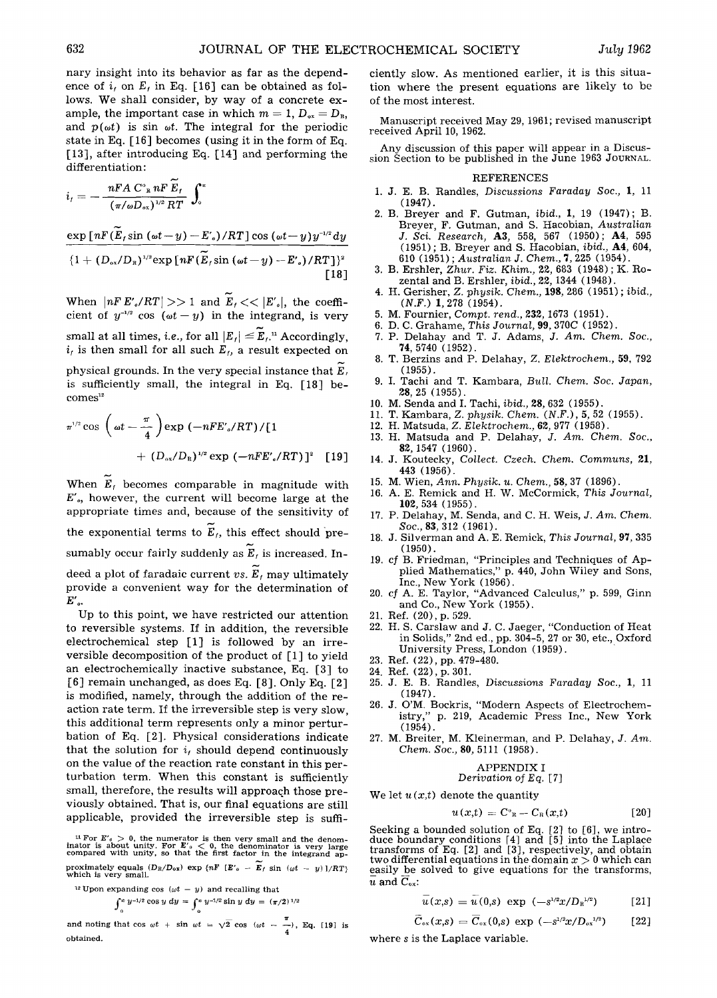nary insight into its behavior as far as the dependence of  $i_t$  on  $E_t$  in Eq. [16] can be obtained as follows. We shall consider, by way of a concrete example, the important case in which  $m = 1$ ,  $D_{\alpha x} = D_{\alpha}$ , and  $p(\omega t)$  is sin  $\omega t$ . The integral for the periodic state in Eq. [16] becomes (using it in the form of Eq. [13], after introducing Eq. [14] and performing the differentiation:

$$
i_t = -\frac{nFA \ C_{\ \mathrm{R}}^{\mathrm{o}} nF \ \widetilde{E}_t}{(\pi/\omega D_{\mathrm{ex}})^{1/2} RT} \ \int_0^{\infty}
$$

$$
\frac{\exp\left[nF(E_{t}\sin\left(\omega t-y\right)-E_{s}\right)/RT\right]\cos\left(\omega t-y\right)y^{-1/2}dy}{\left\{1+\left(D_{\infty}/D_{R}\right)^{1/2}\exp\left[nF(\widetilde{E}_{t}\sin\left(\omega t-y\right)-E_{s}\right)/RT\right\}^{2}}
$$
\n[18]

When  $|nF E'_{o}/RT| >> 1$  and  $E_{f} << |E'_{o}|$ , the coefficient of  $y^{-1/2}$  cos ( $\omega t-y$ ) in the integrand, is very small at all times, *i.e.*, for all  $|E_t| \le \widetilde{E}_t$ .<sup>n</sup> Accordingly,  $i<sub>t</sub>$  is then small for all such  $E<sub>t</sub>$ , a result expected on

physical grounds. In the very special instance that  $E_t$ is sufficiently small, the integral in Eq. [18] be $comes<sup>12</sup>$ 

$$
\pi^{1/2} \cos \left( \omega t - \frac{\pi}{4} \right) \exp \left( -nFE'_{o}/RT \right) / [1 + (D_{ox}/D_{R})^{1/2} \exp \left( -nFE'_{o}/RT \right) ]^{2} [19]
$$

When  $E_t$  becomes comparable in magnitude with  $E'$ <sub>o</sub>, however, the current will become large at the appropriate times and, because of the sensitivity of the exponential terms to  $\widetilde{E}_t$ , this effect should presumably occur fairly suddenly as  $E_t$  is increased. Indeed a plot of faradaic current  $vs. E_f$  may ultimately provide a convenient way for the determination of  $E'$ <sub>o</sub>.

Up to this point, we have restricted our attention to reversible systems. If in addition, the reversible electrochemical step [1] is followed by an irreversible decomposition of the product of [1] to yield an electrochemically inactive substance, Eq. [3] to [6] remain unchanged, as does Eq. [8]. Only Eq. [2] is modified, namely, through the addition of the reaction rate term. If the irreversible step is very slow, this additional term represents only a minor perturbation of Eq. [2]. Physical considerations indicate that the solution for  $i_f$  should depend continuously on the value of the reaction rate constant in this perturbation term. When this constant is sufficiently small, therefore, the results will approaqh those previously obtained. That is, our final equations are still applicable, provided the irreversible step is suffi-

<sup>11</sup> For  $E'_{0} > 0$ , the numerator is then very small and the denominator is about unity. For  $E'_{0} < 0$ , the denominator is very large compared with unity, so that the first factor in the integrand approximately equals  $(D_R/D_{0x})$  exp  $\{nF \mid E'_\theta - E_f \sin{(\omega t - y)}\}/R'_\theta$  which is very small.

$$
\int_0^\infty y^{-1/2} \cos y \, dy = \int_0^\infty y^{-1/2} \sin y \, dy = (\pi/2)^{1/2}
$$

and noting that  $\cos \omega t + \sin \omega t = \sqrt{2} \cos (\omega t - \frac{\pi}{4})$ , Eq. [19] is obtained.

ciently slow. As mentioned earlier, it is this situation where the present equations are likely to be of the most interest.

Manuscript received May 29, 1961; revised manuscript received April 10, 1962.

Any discussion of this paper will appear in a Discussion Section to be published in the June 1963 JOURNAL.

#### REFERENCES

- I. J. E. B. Randles, *Discussions Faraday Soc.,* I, 11 (1947).
- 2. B. Breyer and F. Gutman, *ibid.,* 1, 19 (1947); B. Breyer, F. Gutman, and S. Hacobian, *Australian J. Sci. Research,* A3, 558, 567 (1950); A4, 595 (1951) ; B. Breyer and S. Hacobian, *ibid.,* A4, 604, 610 (1951) ; *Australian J. Chem.,* 7,225 (1954).
- 3. B. Ershler, *Zhur. Fiz. Khim.,* 22, 683 (1948) ; K. Rozental and B. Ershler, *ibid.,* 22, 1344 (1948).
- 4. H. Gerisher, *Z. physik. Chem.,* 198, 286 (1951) ; *ibid., (N.F.)* 1, 278 (1954).
- 5. M. Fournier, *Compt. rend.,* 232, 1673 (1951).
- 6. D. C. Grahame, *This Journal,* 99, 370C (1952).
- 7. P. Delahay and T. J. Adams, *J. Am. Chem. Soc.,*  74, 5740 (1952).
- 8. T. Berzins and P. Delahay, *Z. Elektrochem.,* 59, 792 (1955).
- 9. I. Tachi and T. Kambara, *Bull. Chem. Soc. Japan,*  28, 25 (1955).
- 10. M. Senda and I. Tachi, *ibid.,* 28, 632 (1955).
- 11. T. Kambara, *Z. physik. Chem. (N.F.),* 5, 52 (1955).
- 12. H. Matsuda, *Z. Elektrochem.,* 62, 977 (1958).
- 13. H. Matsuda and P. Delahay, *J. Am. Chem. Soc.,*  82, 1547 (1960).
- 14. J. Koutecky, *Collect. Czech. Chem. Communs,* 21, 443 (1956).
- 15. M. Wien, *Ann. Physik. u. Chem.,* 58, 37 (1896).
- 16. A. E. Remick and H. W. McCormick, *This Journal,*  102, 534 (1955).
- 17. P. Delahay, M. Senda, and C. H. Weis, *J. Am. Chem. Soc.,* 83, 312 (1961).
- 18. J. Silverman and A. E. Remick, *This Journal,* 97, 335 (1950).
- 19. cf B. Friedman, "Principles and Techniques of Applied Mathematics," p. 440, John Wiley and Sons, Inc., New York (1956).
- 20. *cf* A. E. Taylor, "Advanced Calculus," p. 599, Ginn and Co., New York (1955).
- 21. Ref. (20), p. 529.
- 22. H. S. Carslaw and J. C. Jaeger, "Conduction of Heat in Solids," 2nd ed., pp. 304-5, 27 or 30, etc., Oxford University Press, London (1959).
- 23. Ref. (22), pp. 479-480.
- 24. Ref. (22), p. 301.
- 25. J. E. B. Randles, *Discussions Faraday Soc.,* 1, 11 (1947).
- 26. J. O'M. Bockris, "Modern Aspects of Electrochemistry," p. 219, Academic Press Inc., New York (1954).
- 27. M. Breiter, M. Kleinerman, and P. Delahay, *J. Am. Chem. Soc.,* 80, 5111 (1958).

**APPENDIX I**  
\n*Derivation of Eq.* 
$$
[7]
$$

We let  $u(x,t)$  denote the quantity

$$
u(x,t) = C^{\circ}{}_{\mathfrak{n}} - C_{\mathfrak{n}}(x,t) \qquad [20]
$$

Seeking a bounded solution of Eq. [2] to [6], we introduce boundary conditions [4] and [5] into the Laplace transforms of Eq. [2] and [3], respectively, and obtain two differential equations in the domain  $x > 0$  which can easily be solved to give equations for the transforms,  $\overline{u}$  and  $C_{ox}$ :

$$
\overline{u}(x,s) = \overline{u}(0,s) \exp(-s^{1/2}x/D_{R}^{1/2})
$$
 [21]

$$
\hat{C}_{\alpha x}(x,s) = \hat{C}_{\alpha x}(0,s) \exp(-s^{1/2}x/D_{\alpha x}^{1/2})
$$
 [22]

where s is the Laplace variable.

<sup>&</sup>lt;sup>12</sup> Upon expanding cos  $(\omega t - y)$  and recalling that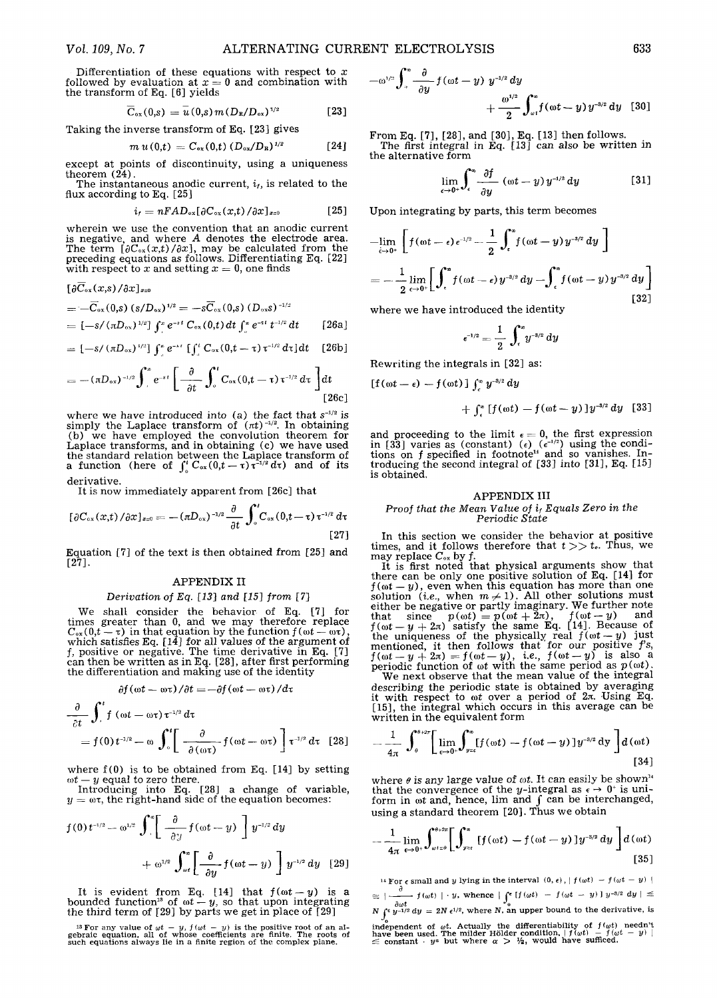Differentiation of these equations with respect to  $x$ followed by evaluation at  $x = 0$  and combination with the transform of Eq. [6] yields

$$
\overline{C}_{\alpha x}(0,s) = \overline{u}(0,s) m (D_{R}/D_{\alpha x})^{1/2}
$$
 [23]

Taking the inverse transform of Eq. [23] gives

$$
m u(0,t) = C_{\alpha x}(0,t) (D_{\alpha x}/D_{\rm R})^{1/2}
$$
 [24]

except at points of discontinuity, using a uniqueness theorem  $(24)$ .

The instantaneous anodic current,  $i_t$ , is related to the flux according to Eq. [25]

$$
i_t = nFAD_{\alpha x}[\partial C_{\alpha x}(x,t)/\partial x]_{x=0}
$$
 [25]

wherein we use the convention that an anodic current is negative, and where A denotes the electrode area. The term  $[\partial C_{\infty}(x,t)/\partial x]$ , may be calculated from the preceding equations as follows. Differentiating Eq. [22] with respect to x and setting  $x = 0$ , one finds

$$
\begin{aligned} &\left[\frac{\partial C_{\text{ox}}(x,s)/\partial x\right]_{x=0}}{=-\overline{C}_{\text{ox}}(0,s)\left(s/D_{\text{ox}}\right)^{1/2}}=-s\overline{C}_{\text{ox}}(0,s)\left(D_{\text{ox}}s\right)^{-1/2}}\\ &=\left[-s/\left(\pi D_{\text{ox}}\right)^{1/2}\right] \int_{-\pi}^{\pi}e^{-st}\,C_{\text{ox}}(0,t)\,dt\int_{-\pi}^{\pi}e^{-st}\,t^{-1/2}\,dt\qquad\text{[26a]} \end{aligned}
$$

$$
= [-s/(\pi D_{\text{ox}})^{1/2}] \int_{a}^{\pi} e^{-st} \left[ \int_{a}^{t} C_{\text{ox}}(0,t-\tau) \tau^{-1/2} d\tau \right] dt \quad [26b]
$$

$$
=-(\pi D_{\alpha x})^{-1/2}\int_{-\pi}^{\pi}e^{-st}\left[\frac{\partial}{\partial t}\int_{0}^{t}C_{\alpha x}(0,t-\tau)\tau^{-1/2}d\tau\right]dt
$$
\n[26c]

where we have introduced into  $(a)$  the fact that  $s^{-1/2}$  is simply the Laplace transform of  $(\pi t)^{-1/2}$ . In obtaining (b) we have employed the convolution theorem for Laplace transforms, and in obtaining (c) we have used the standard relation between the Laplace transform of a function (here of  $\int_{-\infty}^{\infty} C_{\infty}(0,t-\tau)\tau^{-1/2} d\tau$ ) and of its derivative.

It is now immediately apparent from [26c] that

$$
[\partial C_{\alpha x}(x,t)/\partial x]_{x=0} = -(\pi D_{\alpha x})^{-1/2} \frac{\partial}{\partial t} \int_0^t C_{\alpha x}(0,t-\tau) \tau^{-1/2} d\tau
$$
\n[27]

Equation [7] of the text is then obtained from [25] and [27].

#### APPENDIX II

## *Derivation of Eq. [13] and [15] from* [7]

We shall consider the behavior of Eq. [7] for times greater than 0, and we may therefore replace  $C_{\alpha x}(0,t-\tau)$  in that equation by the function  $f(\omega t-\omega \tau)$ , which satisfies Eq. [14] for all values of the argument of f, positive or negative. The time derivative in Eq. [7] can then be written as in Eq. [28], after first performing the differentiation and making use of the identity

$$
\frac{\partial f(\omega t - \omega \tau)}{\partial t} = -\frac{\partial f(\omega t - \omega \tau)}{\partial x}
$$

$$
\frac{\partial}{\partial t} \mathbf{J} \int \left( \omega t - \omega \tau \right) \tau^{1/2} d\tau
$$
\n
$$
= f(0) t^{1/2} - \omega \int_0^t \left[ \frac{\partial}{\partial (\omega \tau)} f(\omega t - \omega \tau) \right] \tau^{1/2} d\tau \quad [28]
$$

where  $f(0)$  is to be obtained from Eq. [14] by setting  $\omega t - y$  equal to zero there.

Introducing into Eq. [28] a change of variable,  $y = \omega \tau$ , the right-hand side of the equation becomes:

$$
f(0) t^{-1/2} = \omega^{1/2} \int_{0}^{\infty} \left[ \frac{\partial}{\partial y} f(\omega t - y) \right] y^{-1/2} dy
$$

$$
+ \omega^{1/2} \int_{\omega t}^{\infty} \left[ \frac{\partial}{\partial y} f(\omega t - y) \right] y^{-1/2} dy \quad [29]
$$

It is evident from Eq.  $[14]$  that  $f(\omega t - y)$  is a bounded function<sup>18</sup> of  $\omega t - y$ , so that upon integrating the third term of [29] by parts we get in place of [29]

<sup>18</sup> For any value of  $\omega t - y$ ,  $f(\omega t - y)$  is the positive root of an algebraic equation, all of whose coefficients are finite. The roots of such equations always lie in a finite region of the complex plane.

$$
-\omega^{1/2}\int_{0}^{\infty}\frac{\partial}{\partial y}f(\omega t-y) y^{-1/2} dy + \frac{\omega^{1/2}}{2}\int_{\omega t}^{\infty}f(\omega t-y) y^{-3/2} dy \quad [30]
$$

From Eq. [7], [28], and [30], Eq. [13] then follows. The first integral in Eq. [13] can also be written in the alternative form

$$
\lim_{\epsilon \to 0^+} \int_{\epsilon}^{\infty} \frac{\partial f}{\partial y} \left( \omega t - y \right) y^{-1/2} dy \qquad [31]
$$

Upon integrating by parts, this term becomes

$$
-\lim_{\epsilon \to 0^+} \left[ f(\omega t - \epsilon) \epsilon^{-1/2} - \frac{1}{2} \int_{\epsilon}^{\infty} f(\omega t - y) y^{-3/2} dy \right]
$$
  
= 
$$
-\frac{1}{2} \lim_{\epsilon \to 0^+} \left[ \int_{\epsilon}^{\infty} f(\omega t - \epsilon) y^{-3/2} dy - \int_{\epsilon}^{\infty} f(\omega t - y) y^{-3/2} dy \right]
$$
  
[32]

where we have introduced the identity

$$
\epsilon^{-1/2}=\frac{1}{2}\,\int_\epsilon^{\infty}\!y^{-3/2}\,\mathrm{d}y
$$

Rewriting the integrals in [32] as:

$$
[f(\omega t-\epsilon)-f(\omega t)]\int_c^{\infty}y^{-3/2}\,dy
$$

$$
+ \int_{-\infty}^{\infty} [f(\omega t) - f(\omega t - y)] y^{-3/2} dy \quad [33]
$$

and proceeding to the limit  $\epsilon = 0$ , the first expression in [33] varies as (constant) (e)  $(e^{-1/2})$  using the conditions on  $f$  specified in footnote<sup> $14$ </sup> and so vanishes. Introducing the second integral of [33] into [31], Eq. [15] is obtained,

#### APPENDIX III

#### *Proof that the Mean Value of ir Equals Zero in the Periodic State*

In this section we consider the behavior at positive times, and it follows therefore that  $t \gg t_0$ . Thus, we times, and it follows therefore that  $t >> t_0$ . Thus, we

may replace  $C_{\rm ox}$  by f.<br>It is first noted that physical arguments show that there can be only one positive solution of Eq. [14] for  $f(\omega t - y)$ , even when this equation has more than one solution *(i.e., when*  $m \neq 1$ ). All other solutions must either be negative or partly imaginary. We further note that since  $p(\omega t) = p(\omega t + 2\pi)$ ,  $f(\omega t - y)$  and  $f(\omega t - y + 2\pi)$  satisfy the same Eq. [14]. Because of the uniqueness of the physically real  $f(\omega t-y)$  just mentioned, it then follows that 'for our positive f's,  $f(\omega t-y+2\pi) = f(\omega t-y)$ , *i.e.*,  $f(\omega t-y)$  is also a periodic function of  $\omega t$  with the same period as  $p(\omega t)$ .

We next observe that the mean value of the integral describing the periodic state is obtained by averaging it with respect to  $\omega t$  over a period of  $2\pi$ . Using Eq. [15], the integral which occurs in this average can be written in the equivalent form

$$
-\frac{1}{4\pi}\int_{0}^{\theta+2\pi}\left[\lim_{\epsilon\to 0^{+}}\int_{y=\epsilon}^{\infty}[f(\omega t)-f(\omega t-y)]y^{-3/2} dy\right]d(\omega t)
$$
\n[34]

where  $\theta$  is any large value of  $\omega t$ . It can easily be shown<sup>14</sup> that the convergence of the y-integral as  $\epsilon \to 0^+$  is uniform in  $\omega t$  and, hence, lim and  $\int$  can be interchanged, using a standard theorem [20]. Thus we obtain

$$
-\frac{1}{4\pi}\lim_{\epsilon\to 0^+}\int_{\omega t=0}^{\theta+2\pi}\left[\int_{y=z}^{\infty}\left[f(\omega t)-f(\omega t-y)\right]y^{-3/2}dy\right]d(\omega t)\tag{35}
$$

<sup>14</sup> For  $\epsilon$  small and *y* lying in the interval  $(0, \epsilon)$ ,  $| f(\omega t) - f(\omega t - y) |$  $\approx$   $\frac{\partial}{\partial t}$   $f(\omega t)$  | · *y*, whence |  $\int_0^{\epsilon} [f(\omega t) - f(\omega t - y)] y^{-3/2} dy$  |  $\leq$  $\frac{\partial \omega t}{\partial Y}$   $\frac{\partial \omega t}{\partial y}$  = 2N  $\epsilon^{1/2}$ , where N, an upper bound to the derivative, is independent of  $\omega t$ . Actually the differentiability of  $f(\omega t)$  needn't<br>have been used. The milder Hölder condition,  $|f(\omega t) - y|$   $|\leq$  constant  $\cdot$   $y$ <sup>a</sup> but where  $\alpha > \frac{1}{2}$ , would have sufficed.

633